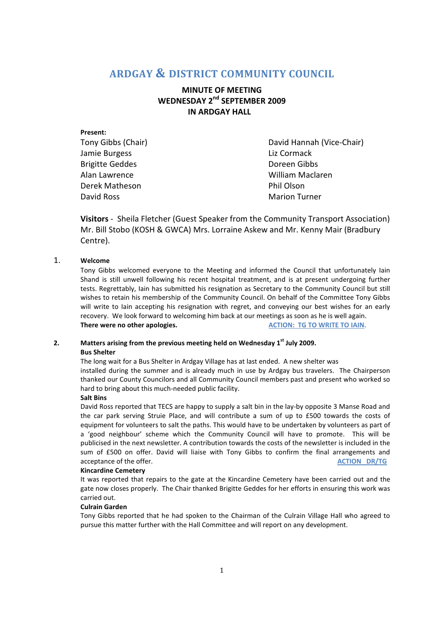# **ARDGAY & DISTRICT COMMUNITY COUNCIL**

# **MINUTE OF MEETING WEDNESDAY 2nd SEPTEMBER 2009 IN ARDGAY HALL**

| Present:               |                           |
|------------------------|---------------------------|
| Tony Gibbs (Chair)     | David Hannah (Vice-Chair) |
| Jamie Burgess          | Liz Cormack               |
| <b>Brigitte Geddes</b> | Doreen Gibbs              |
| Alan Lawrence          | William Maclaren          |
| Derek Matheson         | Phil Olson                |
| David Ross             | <b>Marion Turner</b>      |

**Visitors** - Sheila Fletcher (Guest Speaker from the Community Transport Association) Mr. Bill Stobo (KOSH & GWCA) Mrs. Lorraine Askew and Mr. Kenny Mair (Bradbury Centre).

# 1. **Welcome**

Tony Gibbs welcomed everyone to the Meeting and informed the Council that unfortunately Iain Shand is still unwell following his recent hospital treatment, and is at present undergoing further tests. Regrettably, Iain has submitted his resignation as Secretary to the Community Council but still wishes to retain his membership of the Community Council. On behalf of the Committee Tony Gibbs will write to Iain accepting his resignation with regret, and conveying our best wishes for an early recovery. We look forward to welcoming him back at our meetings as soon as he is well again. **There were no other apologies.** ACTION: TG TO WRITE TO IAIN.

# **2. Matters arising from the previous meeting held on Wednesday 1st July 2009. Bus Shelter**

The long wait for a Bus Shelter in Ardgay Village has at last ended. A new shelter was installed during the summer and is already much in use by Ardgay bus travelers. The Chairperson thanked our County Councilors and all Community Council members past and present who worked so hard to bring about this much-needed public facility.

# **Salt Bins**

David Ross reported that TECS are happy to supply a salt bin in the lay-by opposite 3 Manse Road and the car park serving Struie Place, and will contribute a sum of up to £500 towards the costs of equipment for volunteers to salt the paths. This would have to be undertaken by volunteers as part of a 'good neighbour' scheme which the Community Council will have to promote. This will be publicised in the next newsletter. A contribution towards the costs of the newsletter is included in the sum of £500 on offer. David will liaise with Tony Gibbs to confirm the final arrangements and acceptance of the offer. **ACTION DR/TG** 

# **Kincardine Cemetery**

It was reported that repairs to the gate at the Kincardine Cemetery have been carried out and the gate now closes properly. The Chair thanked Brigitte Geddes for her efforts in ensuring this work was carried out.

# **Culrain Garden**

Tony Gibbs reported that he had spoken to the Chairman of the Culrain Village Hall who agreed to pursue this matter further with the Hall Committee and will report on any development.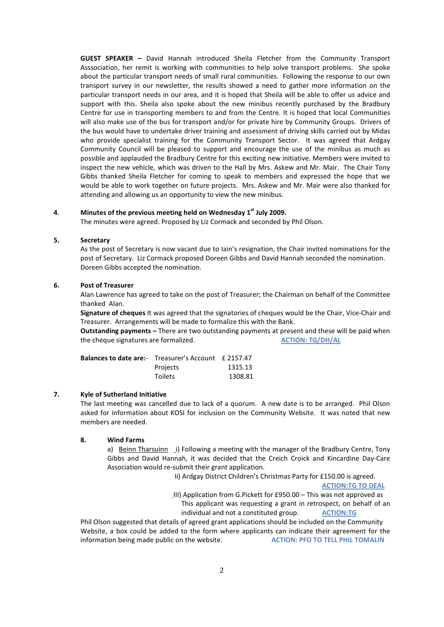**GUEST SPEAKER –** David Hannah introduced Sheila Fletcher from the Community Transport Asssociation, her remit is working with communities to help solve transport problems. She spoke about the particular transport needs of small rural communities. Following the response to our own transport survey in our newsletter, the results showed a need to gather more information on the particular transport needs in our area, and it is hoped that Sheila will be able to offer us advice and support with this. Sheila also spoke about the new minibus recently purchased by the Bradbury Centre for use in transporting members to and from the Centre. It is hoped that local Communities will also make use of the bus for transport and/or for private hire by Community Groups. Drivers of the bus would have to undertake driver training and assessment of driving skills carried out by Midas who provide specialist training for the Community Transport Sector. It was agreed that Ardgay Community Council will be pleased to support and encourage the use of the minibus as much as possible and applauded the Bradbury Centre for this exciting new initiative. Members were invited to inspect the new vehicle, which was driven to the Hall by Mrs. Askew and Mr. Mair. The Chair Tony Gibbs thanked Sheila Fletcher for coming to speak to members and expressed the hope that we would be able to work together on future projects. Mrs. Askew and Mr. Mair were also thanked for attending and allowing us an opportunity to view the new minibus.

#### **4**. **Minutes of the previous meeting held on Wednesday 1st July 2009.**

The minutes were agreed. Proposed by Liz Cormack and seconded by Phil Olson.

# **5. Secretary**

As the post of Secretary is now vacant due to Iain's resignation, the Chair invited nominations for the post of Secretary. Liz Cormack proposed Doreen Gibbs and David Hannah seconded the nomination. Doreen Gibbs accepted the nomination.

# **6. Post of Treasurer**

Alan Lawrence has agreed to take on the post of Treasurer; the Chairman on behalf of the Committee thanked Alan.

**Signature of cheques** It was agreed that the signatories of cheques would be the Chair, Vice-Chair and Treasurer. Arrangements will be made to formalize this with the Bank.

**Outstanding payments –** There are two outstanding payments at present and these will be paid when the cheque signatures are formalized. **ACTION: TG/DH/AL**

| <b>Balances to date are:-</b> Treasurer's Account £ 2157.47 |                |         |
|-------------------------------------------------------------|----------------|---------|
|                                                             | Projects       | 1315.13 |
|                                                             | <b>Toilets</b> | 1308.81 |

# **7. Kyle of Sutherland Initiative**

The last meeting was cancelled due to lack of a quorum. A new date is to be arranged. Phil Olson asked for information about KOSI for inclusion on the Community Website. It was noted that new members are needed.

#### **8. Wind Farms**

a) Beinn Tharsuinn i) Following a meeting with the manager of the Bradbury Centre, Tony Gibbs and David Hannah, it was decided that the Creich Croick and Kincardine Day-Care Association would re-submit their grant application.

Ii) Ardgay District Children's Christmas Party for £150.00 is agreed.

**ACTION:TG TO DEAL**

III) Application from G.Pickett for £950.00 – This was not approved as This applicant was requesting a grant in retrospect, on behalf of an individual and not a constituted group. **ACTION:TG** 

 Phil Olson suggested that details of agreed grant applications should be included on the Community Website, a box could be added to the form where applicants can indicate their agreement for the information being made public on the website. **ACTION: PFO TO TELL PHIL TOMALIN**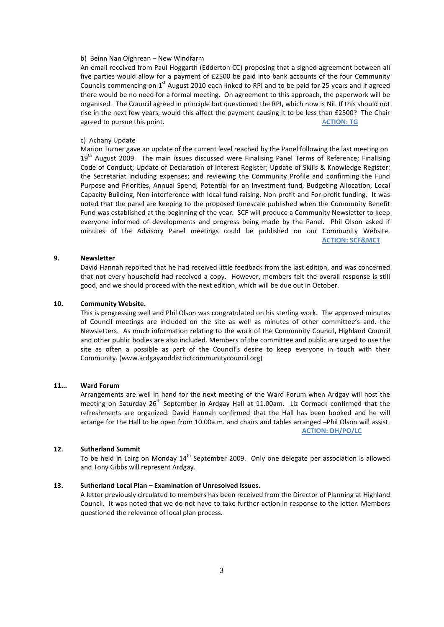#### b) Beinn Nan Oighrean – New Windfarm

An email received from Paul Hoggarth (Edderton CC) proposing that a signed agreement between all five parties would allow for a payment of £2500 be paid into bank accounts of the four Community Councils commencing on 1<sup>st</sup> August 2010 each linked to RPI and to be paid for 25 years and if agreed there would be no need for a formal meeting. On agreement to this approach, the paperwork will be organised. The Council agreed in principle but questioned the RPI, which now is Nil. If this should not rise in the next few years, would this affect the payment causing it to be less than £2500? The Chair agreed to pursue this point. ACTION: TG **ACTION: TG ACTION: TG** 

# c) Achany Update

Marion Turner gave an update of the current level reached by the Panel following the last meeting on 19<sup>th</sup> August 2009. The main issues discussed were Finalising Panel Terms of Reference; Finalising Code of Conduct; Update of Declaration of Interest Register; Update of Skills & Knowledge Register: the Secretariat including expenses; and reviewing the Community Profile and confirming the Fund Purpose and Priorities, Annual Spend, Potential for an Investment fund, Budgeting Allocation, Local Capacity Building, Non-interference with local fund raising, Non-profit and For-profit funding. It was noted that the panel are keeping to the proposed timescale published when the Community Benefit Fund was established at the beginning of the year. SCF will produce a Community Newsletter to keep everyone informed of developments and progress being made by the Panel. Phil Olson asked if minutes of the Advisory Panel meetings could be published on our Community Website. **ACTION: SCF&MCT** 

# **9. Newsletter**

David Hannah reported that he had received little feedback from the last edition, and was concerned that not every household had received a copy. However, members felt the overall response is still good, and we should proceed with the next edition, which will be due out in October.

### **10. Community Website.**

This is progressing well and Phil Olson was congratulated on his sterling work. The approved minutes of Council meetings are included on the site as well as minutes of other committee's and. the Newsletters. As much information relating to the work of the Community Council, Highland Council and other public bodies are also included. Members of the committee and public are urged to use the site as often a possible as part of the Council's desire to keep everyone in touch with their Community. (www.ardgayanddistrictcommunitycouncil.org)

#### **11... Ward Forum**

Arrangements are well in hand for the next meeting of the Ward Forum when Ardgay will host the meeting on Saturday  $26<sup>th</sup>$  September in Ardgay Hall at 11.00am. Liz Cormack confirmed that the refreshments are organized. David Hannah confirmed that the Hall has been booked and he will arrange for the Hall to be open from 10.00a.m. and chairs and tables arranged –Phil Olson will assist. **ACTION: DH/PO/LC**

#### **12. Sutherland Summit**

To be held in Lairg on Monday  $14<sup>th</sup>$  September 2009. Only one delegate per association is allowed and Tony Gibbs will represent Ardgay.

# **13. Sutherland Local Plan – Examination of Unresolved Issues.**

A letter previously circulated to members has been received from the Director of Planning at Highland Council. It was noted that we do not have to take further action in response to the letter. Members questioned the relevance of local plan process.